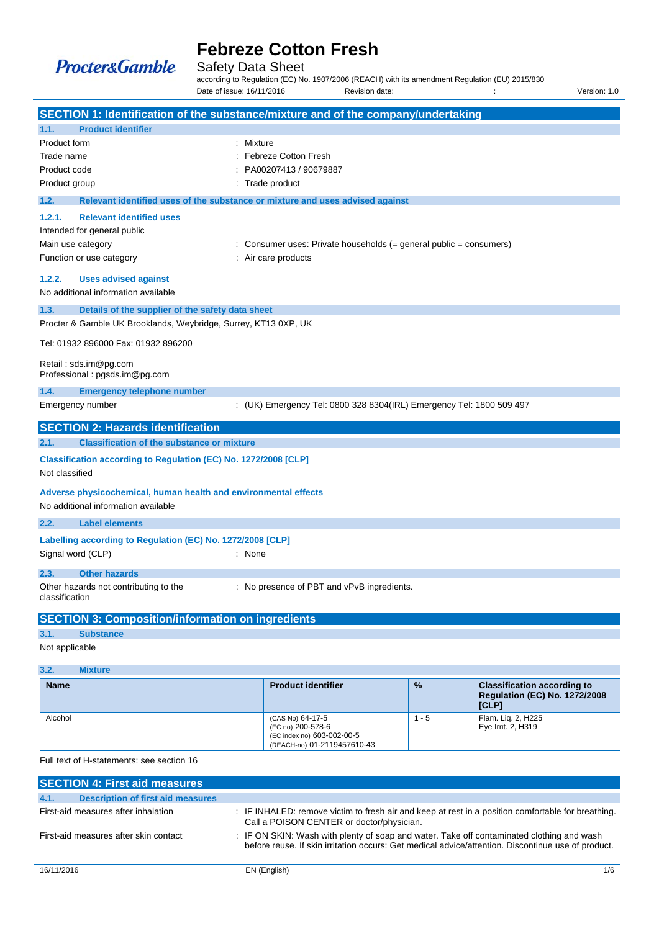

Safety Data Sheet

according to Regulation (EC) No. 1907/2006 (REACH) with its amendment Regulation (EU) 2015/830 Date of issue: 16/11/2016 Revision date: <br>
Revision date:  $\cdot$  :  $\cdot$  Version: 1.0

|                                                                                   |                                                                                                                        | SECTION 1: Identification of the substance/mixture and of the company/undertaking |
|-----------------------------------------------------------------------------------|------------------------------------------------------------------------------------------------------------------------|-----------------------------------------------------------------------------------|
| 1.1.                                                                              | <b>Product identifier</b>                                                                                              |                                                                                   |
| Product form                                                                      |                                                                                                                        | : Mixture                                                                         |
| Trade name                                                                        |                                                                                                                        | <b>Febreze Cotton Fresh</b>                                                       |
| Product code                                                                      |                                                                                                                        | PA00207413 / 90679887                                                             |
| Product group                                                                     |                                                                                                                        | Trade product                                                                     |
| 1.2.                                                                              |                                                                                                                        | Relevant identified uses of the substance or mixture and uses advised against     |
| 1.2.1.                                                                            | <b>Relevant identified uses</b><br>Intended for general public<br>Main use category                                    | : Consumer uses: Private households $(=$ general public $=$ consumers)            |
|                                                                                   | Function or use category                                                                                               | : Air care products                                                               |
| 1.2.2.<br>1.3.                                                                    | <b>Uses advised against</b><br>No additional information available<br>Details of the supplier of the safety data sheet |                                                                                   |
|                                                                                   | Procter & Gamble UK Brooklands, Weybridge, Surrey, KT13 0XP, UK                                                        |                                                                                   |
|                                                                                   | Tel: 01932 896000 Fax: 01932 896200<br>Retail: sds.im@pg.com                                                           |                                                                                   |
|                                                                                   | Professional: pgsds.im@pg.com                                                                                          |                                                                                   |
| 1.4.                                                                              | <b>Emergency telephone number</b>                                                                                      |                                                                                   |
|                                                                                   | Emergency number                                                                                                       | : (UK) Emergency Tel: 0800 328 8304(IRL) Emergency Tel: 1800 509 497              |
|                                                                                   | <b>SECTION 2: Hazards identification</b>                                                                               |                                                                                   |
| 2.1.                                                                              | <b>Classification of the substance or mixture</b>                                                                      |                                                                                   |
| Classification according to Regulation (EC) No. 1272/2008 [CLP]<br>Not classified |                                                                                                                        |                                                                                   |
|                                                                                   | Adverse physicochemical, human health and environmental effects<br>No additional information available                 |                                                                                   |
| 2.2.                                                                              | <b>Label elements</b>                                                                                                  |                                                                                   |
|                                                                                   | Labelling according to Regulation (EC) No. 1272/2008 [CLP]<br>Signal word (CLP)                                        | : None                                                                            |
| 2.3.                                                                              | <b>Other hazards</b>                                                                                                   |                                                                                   |
| classification                                                                    | Other hazards not contributing to the                                                                                  | : No presence of PBT and vPvB ingredients.                                        |
|                                                                                   | <b>SECTION 3: Composition/information on ingredients</b>                                                               |                                                                                   |
| 3.1.                                                                              | <b>Substance</b>                                                                                                       |                                                                                   |

Not applicable

**3.2. Mixture** 

| ---<br>$\cdots$ |                                                                                                    |               |                                                                                     |
|-----------------|----------------------------------------------------------------------------------------------------|---------------|-------------------------------------------------------------------------------------|
| <b>Name</b>     | <b>Product identifier</b>                                                                          | $\frac{9}{6}$ | <b>Classification according to</b><br><b>Regulation (EC) No. 1272/2008</b><br>[CLP] |
| Alcohol         | (CAS No) 64-17-5<br>(EC no) 200-578-6<br>(EC index no) 603-002-00-5<br>(REACH-no) 01-2119457610-43 | l - 5         | Flam. Lig. 2, H225<br>Eye Irrit. 2, H319                                            |

Full text of H-statements: see section 16

| <b>SECTION 4: First aid measures</b>             |                                                                                                                                                                                                 |     |  |  |
|--------------------------------------------------|-------------------------------------------------------------------------------------------------------------------------------------------------------------------------------------------------|-----|--|--|
| 4.1.<br><b>Description of first aid measures</b> |                                                                                                                                                                                                 |     |  |  |
| First-aid measures after inhalation              | : IF INHALED: remove victim to fresh air and keep at rest in a position comfortable for breathing.<br>Call a POISON CENTER or doctor/physician.                                                 |     |  |  |
| First-aid measures after skin contact            | : IF ON SKIN: Wash with plenty of soap and water. Take off contaminated clothing and wash<br>before reuse. If skin irritation occurs: Get medical advice/attention. Discontinue use of product. |     |  |  |
| 16/11/2016                                       | EN (English)                                                                                                                                                                                    | 1/6 |  |  |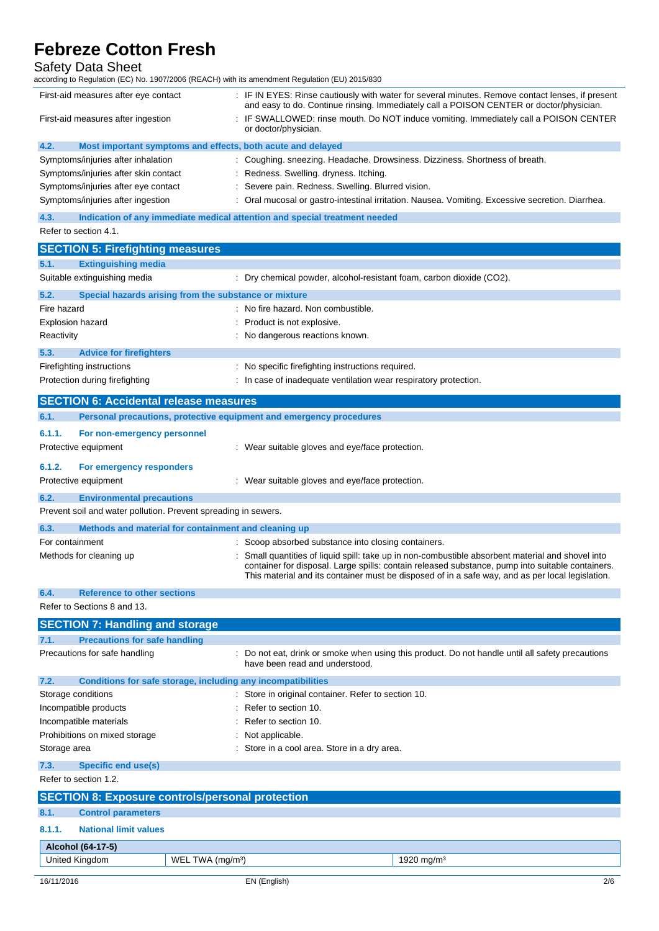# Safety Data Sheet

according to Regulation (EC) No. 1907/2006 (REACH) with its amendment Regulation (EU) 2015/830

| First-aid measures after eye contact                                | : IF IN EYES: Rinse cautiously with water for several minutes. Remove contact lenses, if present<br>and easy to do. Continue rinsing. Immediately call a POISON CENTER or doctor/physician. |  |
|---------------------------------------------------------------------|---------------------------------------------------------------------------------------------------------------------------------------------------------------------------------------------|--|
| First-aid measures after ingestion                                  | : IF SWALLOWED: rinse mouth. Do NOT induce vomiting. Immediately call a POISON CENTER<br>or doctor/physician.                                                                               |  |
| 4.2.<br>Most important symptoms and effects, both acute and delayed |                                                                                                                                                                                             |  |
| Symptoms/injuries after inhalation                                  | : Coughing. sneezing. Headache. Drowsiness. Dizziness. Shortness of breath.                                                                                                                 |  |
| Symptoms/injuries after skin contact                                | : Redness. Swelling. dryness. Itching.                                                                                                                                                      |  |
| Symptoms/injuries after eye contact                                 | : Severe pain. Redness. Swelling. Blurred vision.                                                                                                                                           |  |
| Symptoms/injuries after ingestion                                   | : Oral mucosal or gastro-intestinal irritation. Nausea. Vomiting. Excessive secretion. Diarrhea.                                                                                            |  |
| $\overline{A}$                                                      | Indication of any immodiate modical attention and enocial treatment peodod                                                                                                                  |  |

ion of any immediate medical attention and special treatment

| <b>SECTION 5: Firefighting measures</b>                              |                                                                                                                                                                                                                                                                                                         |  |  |  |
|----------------------------------------------------------------------|---------------------------------------------------------------------------------------------------------------------------------------------------------------------------------------------------------------------------------------------------------------------------------------------------------|--|--|--|
| <b>Extinguishing media</b><br>5.1.                                   |                                                                                                                                                                                                                                                                                                         |  |  |  |
| Suitable extinguishing media                                         | Dry chemical powder, alcohol-resistant foam, carbon dioxide (CO2).                                                                                                                                                                                                                                      |  |  |  |
| 5.2.<br>Special hazards arising from the substance or mixture        |                                                                                                                                                                                                                                                                                                         |  |  |  |
| Fire hazard                                                          | No fire hazard. Non combustible.                                                                                                                                                                                                                                                                        |  |  |  |
| Explosion hazard                                                     | Product is not explosive.                                                                                                                                                                                                                                                                               |  |  |  |
| Reactivity                                                           | No dangerous reactions known.                                                                                                                                                                                                                                                                           |  |  |  |
| 5.3.<br><b>Advice for firefighters</b>                               |                                                                                                                                                                                                                                                                                                         |  |  |  |
| Firefighting instructions                                            | : No specific firefighting instructions required.                                                                                                                                                                                                                                                       |  |  |  |
| Protection during firefighting                                       | : In case of inadequate ventilation wear respiratory protection.                                                                                                                                                                                                                                        |  |  |  |
| <b>SECTION 6: Accidental release measures</b>                        |                                                                                                                                                                                                                                                                                                         |  |  |  |
| 6.1.                                                                 | Personal precautions, protective equipment and emergency procedures                                                                                                                                                                                                                                     |  |  |  |
| 6.1.1.<br>For non-emergency personnel                                |                                                                                                                                                                                                                                                                                                         |  |  |  |
| Protective equipment                                                 | : Wear suitable gloves and eye/face protection.                                                                                                                                                                                                                                                         |  |  |  |
|                                                                      |                                                                                                                                                                                                                                                                                                         |  |  |  |
| 6.1.2.<br>For emergency responders                                   |                                                                                                                                                                                                                                                                                                         |  |  |  |
| Protective equipment                                                 | : Wear suitable gloves and eye/face protection.                                                                                                                                                                                                                                                         |  |  |  |
| 6.2.<br><b>Environmental precautions</b>                             |                                                                                                                                                                                                                                                                                                         |  |  |  |
| Prevent soil and water pollution. Prevent spreading in sewers.       |                                                                                                                                                                                                                                                                                                         |  |  |  |
| 6.3.<br>Methods and material for containment and cleaning up         |                                                                                                                                                                                                                                                                                                         |  |  |  |
| For containment                                                      | : Scoop absorbed substance into closing containers.                                                                                                                                                                                                                                                     |  |  |  |
| Methods for cleaning up                                              | Small quantities of liquid spill: take up in non-combustible absorbent material and shovel into<br>container for disposal. Large spills: contain released substance, pump into suitable containers.<br>This material and its container must be disposed of in a safe way, and as per local legislation. |  |  |  |
| 6.4.<br><b>Reference to other sections</b>                           |                                                                                                                                                                                                                                                                                                         |  |  |  |
| Refer to Sections 8 and 13.                                          |                                                                                                                                                                                                                                                                                                         |  |  |  |
| <b>SECTION 7: Handling and storage</b>                               |                                                                                                                                                                                                                                                                                                         |  |  |  |
| <b>Precautions for safe handling</b><br>7.1.                         |                                                                                                                                                                                                                                                                                                         |  |  |  |
| Precautions for safe handling                                        | Do not eat, drink or smoke when using this product. Do not handle until all safety precautions<br>have been read and understood.                                                                                                                                                                        |  |  |  |
| Conditions for safe storage, including any incompatibilities<br>7.2. |                                                                                                                                                                                                                                                                                                         |  |  |  |
| Storage conditions                                                   | Store in original container. Refer to section 10.                                                                                                                                                                                                                                                       |  |  |  |
| Incompatible products                                                | Refer to section 10.                                                                                                                                                                                                                                                                                    |  |  |  |
| Incompatible materials                                               | Refer to section 10.                                                                                                                                                                                                                                                                                    |  |  |  |
| Prohibitions on mixed storage                                        | : Not applicable.                                                                                                                                                                                                                                                                                       |  |  |  |
| Storage area                                                         | : Store in a cool area. Store in a dry area.                                                                                                                                                                                                                                                            |  |  |  |
| 7.3.<br><b>Specific end use(s)</b>                                   |                                                                                                                                                                                                                                                                                                         |  |  |  |
| Refer to section 1.2.                                                |                                                                                                                                                                                                                                                                                                         |  |  |  |
| <b>SECTION 8: Exposure controls/personal protection</b>              |                                                                                                                                                                                                                                                                                                         |  |  |  |
| <b>Control parameters</b><br>8.1.                                    |                                                                                                                                                                                                                                                                                                         |  |  |  |
| <b>National limit values</b><br>8.1.1.                               |                                                                                                                                                                                                                                                                                                         |  |  |  |
| Alcohol (64-17-5)                                                    |                                                                                                                                                                                                                                                                                                         |  |  |  |
| United Kingdom<br>WEL TWA (mg/m <sup>3</sup> )                       | 1920 mg/m <sup>3</sup>                                                                                                                                                                                                                                                                                  |  |  |  |
| 16/11/2016                                                           | EN (English)<br>2/6                                                                                                                                                                                                                                                                                     |  |  |  |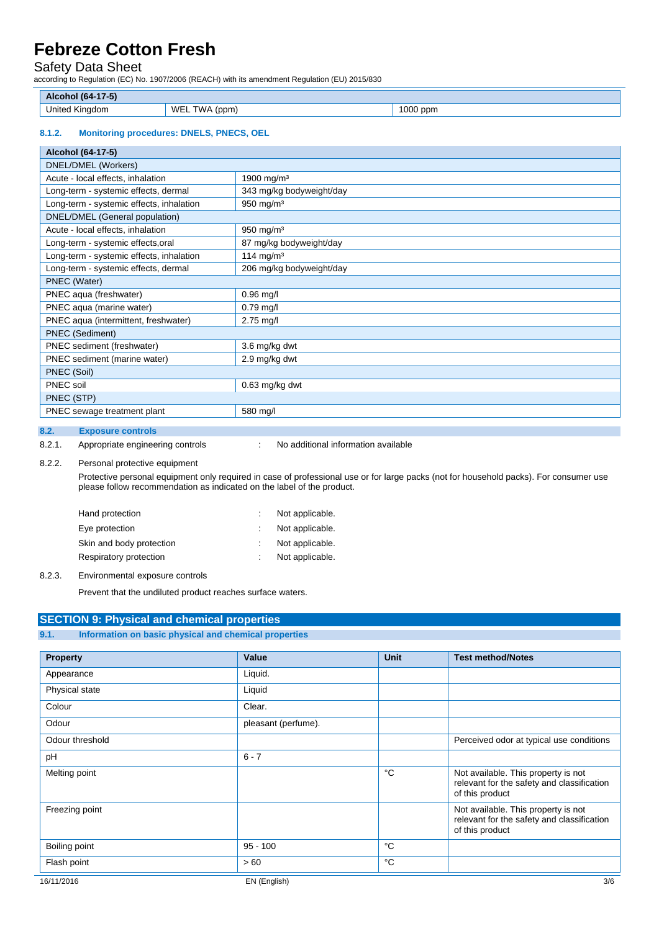# Safety Data Sheet

according to Regulation (EC) No. 1907/2006 (REACH) with its amendment Regulation (EU) 2015/830

| <b>AI</b><br>onoj (64-1<br>$\sqrt{22}$ |                                  |             |
|----------------------------------------|----------------------------------|-------------|
| .<br>United<br>' Kinadom<br>- -<br>__  | WE<br><b>CVALA</b><br>'ppm.<br>M | 1000<br>ppm |

## **8.1.2. Monitoring procedures: DNELS, PNECS, OEL**

| Alcohol (64-17-5)                        |                          |  |
|------------------------------------------|--------------------------|--|
| DNEL/DMEL (Workers)                      |                          |  |
| Acute - local effects, inhalation        | 1900 mg/m <sup>3</sup>   |  |
| Long-term - systemic effects, dermal     | 343 mg/kg bodyweight/day |  |
| Long-term - systemic effects, inhalation | $950$ mg/m <sup>3</sup>  |  |
| DNEL/DMEL (General population)           |                          |  |
| Acute - local effects, inhalation        | 950 mg/m $3$             |  |
| Long-term - systemic effects, oral       | 87 mg/kg bodyweight/day  |  |
| Long-term - systemic effects, inhalation | 114 mg/m <sup>3</sup>    |  |
| Long-term - systemic effects, dermal     | 206 mg/kg bodyweight/day |  |
| PNEC (Water)                             |                          |  |
| PNEC aqua (freshwater)                   | $0.96$ mg/l              |  |
| PNEC aqua (marine water)                 | $0.79$ mg/l              |  |
| PNEC aqua (intermittent, freshwater)     | $2.75$ mg/l              |  |
| <b>PNEC</b> (Sediment)                   |                          |  |
| PNEC sediment (freshwater)               | 3.6 mg/kg dwt            |  |
| PNEC sediment (marine water)             | 2.9 mg/kg dwt            |  |
| PNEC (Soil)                              |                          |  |
| PNEC soil                                | $0.63$ mg/kg dwt         |  |
| PNEC (STP)                               |                          |  |
| PNEC sewage treatment plant              | 580 mg/l                 |  |

## **8.2. Exposure controls**

8.2.1. Appropriate engineering controls : No additional information available

### 8.2.2. Personal protective equipment

 Protective personal equipment only required in case of professional use or for large packs (not for household packs). For consumer use please follow recommendation as indicated on the label of the product.

| Hand protection          | Not applicable. |
|--------------------------|-----------------|
| Eye protection           | Not applicable. |
| Skin and body protection | Not applicable. |
| Respiratory protection   | Not applicable. |
|                          |                 |

## 8.2.3. Environmental exposure controls

Prevent that the undiluted product reaches surface waters.

## **SECTION 9: Physical and chemical properties**

**9.1. Information on basic physical and chemical properties** 

| <b>Property</b> | Value               | <b>Unit</b> | <b>Test method/Notes</b>                                                                             |
|-----------------|---------------------|-------------|------------------------------------------------------------------------------------------------------|
| Appearance      | Liquid.             |             |                                                                                                      |
| Physical state  | Liquid              |             |                                                                                                      |
| Colour          | Clear.              |             |                                                                                                      |
| Odour           | pleasant (perfume). |             |                                                                                                      |
| Odour threshold |                     |             | Perceived odor at typical use conditions                                                             |
| pH              | $6 - 7$             |             |                                                                                                      |
| Melting point   |                     | °C          | Not available. This property is not<br>relevant for the safety and classification<br>of this product |
| Freezing point  |                     |             | Not available. This property is not<br>relevant for the safety and classification<br>of this product |
| Boiling point   | $95 - 100$          | °C          |                                                                                                      |
| Flash point     | >60                 | °C          |                                                                                                      |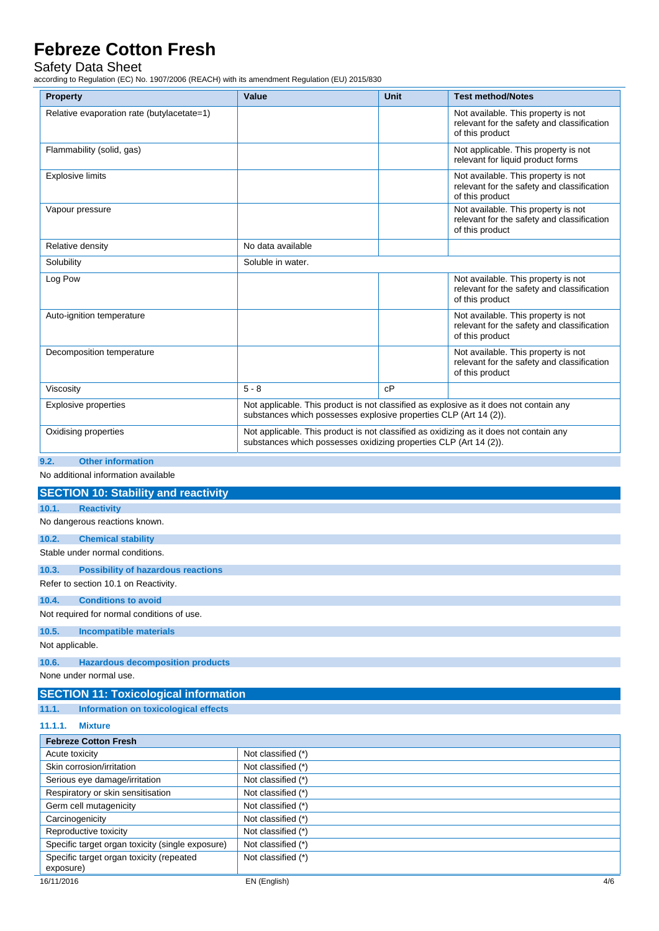# Safety Data Sheet

according to Regulation (EC) No. 1907/2006 (REACH) with its amendment Regulation (EU) 2015/830

| <b>Property</b>                            | Value                                                                                                                                                       | <b>Unit</b> | <b>Test method/Notes</b>                                                                             |
|--------------------------------------------|-------------------------------------------------------------------------------------------------------------------------------------------------------------|-------------|------------------------------------------------------------------------------------------------------|
| Relative evaporation rate (butylacetate=1) |                                                                                                                                                             |             | Not available. This property is not<br>relevant for the safety and classification<br>of this product |
| Flammability (solid, gas)                  |                                                                                                                                                             |             | Not applicable. This property is not<br>relevant for liquid product forms                            |
| <b>Explosive limits</b>                    |                                                                                                                                                             |             | Not available. This property is not<br>relevant for the safety and classification<br>of this product |
| Vapour pressure                            |                                                                                                                                                             |             | Not available. This property is not<br>relevant for the safety and classification<br>of this product |
| Relative density                           | No data available                                                                                                                                           |             |                                                                                                      |
| Solubility                                 | Soluble in water.                                                                                                                                           |             |                                                                                                      |
| Log Pow                                    |                                                                                                                                                             |             | Not available. This property is not<br>relevant for the safety and classification<br>of this product |
| Auto-ignition temperature                  |                                                                                                                                                             |             | Not available. This property is not<br>relevant for the safety and classification<br>of this product |
| Decomposition temperature                  |                                                                                                                                                             |             | Not available. This property is not<br>relevant for the safety and classification<br>of this product |
| Viscosity                                  | $5 - 8$                                                                                                                                                     | cP          |                                                                                                      |
| <b>Explosive properties</b>                | Not applicable. This product is not classified as explosive as it does not contain any<br>substances which possesses explosive properties CLP (Art 14 (2)). |             |                                                                                                      |
| Oxidising properties                       | Not applicable. This product is not classified as oxidizing as it does not contain any<br>substances which possesses oxidizing properties CLP (Art 14 (2)). |             |                                                                                                      |
| 9.2.<br><b>Other information</b>           |                                                                                                                                                             |             |                                                                                                      |

No additional information available

| <b>SECTION 10: Stability and reactivity</b>           |                     |  |  |
|-------------------------------------------------------|---------------------|--|--|
| 10.1.<br><b>Reactivity</b>                            |                     |  |  |
| No dangerous reactions known.                         |                     |  |  |
| 10.2.<br><b>Chemical stability</b>                    |                     |  |  |
| Stable under normal conditions.                       |                     |  |  |
| 10.3.<br><b>Possibility of hazardous reactions</b>    |                     |  |  |
| Refer to section 10.1 on Reactivity.                  |                     |  |  |
| 10.4.<br><b>Conditions to avoid</b>                   |                     |  |  |
| Not required for normal conditions of use.            |                     |  |  |
| 10.5.<br><b>Incompatible materials</b>                |                     |  |  |
| Not applicable.                                       |                     |  |  |
| 10.6.<br><b>Hazardous decomposition products</b>      |                     |  |  |
| None under normal use.                                |                     |  |  |
| <b>SECTION 11: Toxicological information</b>          |                     |  |  |
| <b>Information on toxicological effects</b><br>11.1.  |                     |  |  |
| 11.1.1.<br><b>Mixture</b>                             |                     |  |  |
| <b>Febreze Cotton Fresh</b>                           |                     |  |  |
| Acute toxicity                                        | Not classified (*)  |  |  |
| Skin corrosion/irritation                             | Not classified (*)  |  |  |
| Serious eye damage/irritation                         | Not classified (*)  |  |  |
| Respiratory or skin sensitisation                     | Not classified (*)  |  |  |
| Germ cell mutagenicity                                | Not classified (*)  |  |  |
| Carcinogenicity                                       | Not classified (*)  |  |  |
| Reproductive toxicity                                 | Not classified (*)  |  |  |
| Specific target organ toxicity (single exposure)      | Not classified (*)  |  |  |
| Specific target organ toxicity (repeated<br>exposure) | Not classified (*)  |  |  |
| 16/11/2016                                            | EN (English)<br>4/6 |  |  |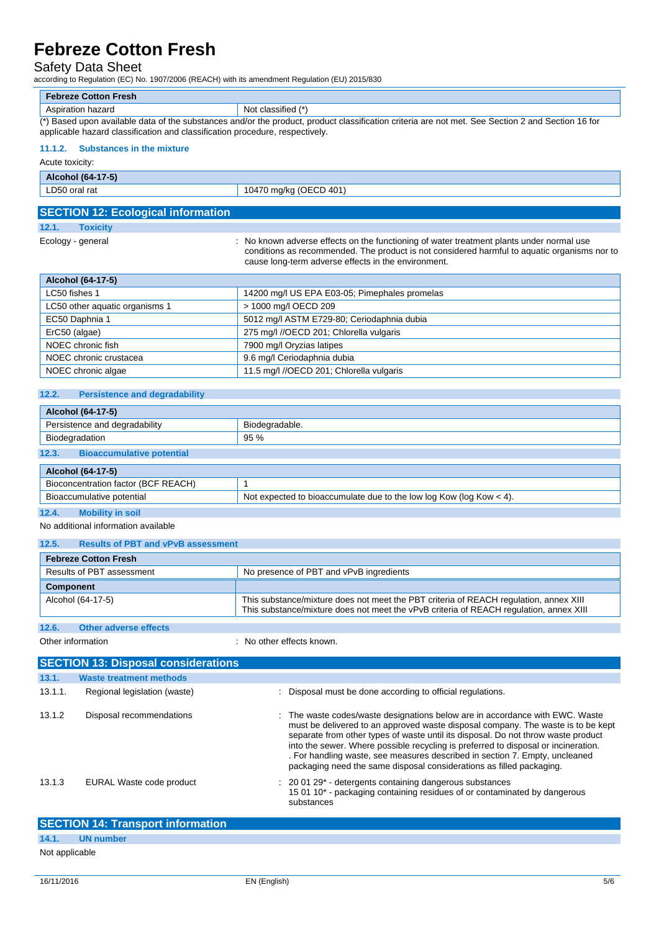# Safety Data Sheet

according to Regulation (EC) No. 1907/2006 (REACH) with its amendment Regulation (EU) 2015/830

| <b>Febreze Cotton Fresh</b>                                                                                                                       |                    |  |  |
|---------------------------------------------------------------------------------------------------------------------------------------------------|--------------------|--|--|
| Aspiration hazard                                                                                                                                 | Not classified (*) |  |  |
| (*) Based upon available data of the substances and/or the product, product classification criteria are not met. See Section 2 and Section 16 for |                    |  |  |
| applicable hazard classification and classification procedure, respectively.                                                                      |                    |  |  |

### **11.1.2. Substances in the mixture**

Acute toxicity:

**Alcohol (64-17-5)** 

| LD50 oral rat | 10470 mg/kg (OECD 401) |  |
|---------------|------------------------|--|
|               |                        |  |

## **SECTION 12: Ecological information**

**12.1. Toxicity** 

Ecology - general **Ecology** - general strategy of the functioning of water treatment plants under normal use conditions as recommended. The product is not considered harmful to aquatic organisms nor to cause long-term adverse effects in the environment.

| <b>Alcohol (64-17-5)</b>                                       |                                            |  |  |
|----------------------------------------------------------------|--------------------------------------------|--|--|
| LC50 fishes 1<br>14200 mg/l US EPA E03-05; Pimephales promelas |                                            |  |  |
| LC50 other aquatic organisms 1                                 | > 1000 mg/l OECD 209                       |  |  |
| EC50 Daphnia 1                                                 | 5012 mg/l ASTM E729-80; Ceriodaphnia dubia |  |  |
| ErC50 (algae)                                                  | 275 mg/l //OECD 201; Chlorella vulgaris    |  |  |
| NOEC chronic fish                                              | 7900 mg/l Oryzias latipes                  |  |  |
| NOEC chronic crustacea                                         | 9.6 mg/l Ceriodaphnia dubia                |  |  |
| NOEC chronic algae                                             | 11.5 mg/l //OECD 201; Chlorella vulgaris   |  |  |

## **12.2. Persistence and degradability**

| Alcohol (64-17-5)                         |                                                                       |  |  |
|-------------------------------------------|-----------------------------------------------------------------------|--|--|
| Persistence and degradability             | Biodegradable.                                                        |  |  |
| Biodegradation                            | 95%                                                                   |  |  |
| 12.3.<br><b>Bioaccumulative potential</b> |                                                                       |  |  |
| <b>Alcohol (64-17-5)</b>                  |                                                                       |  |  |
| Bioconcentration factor (BCF REACH)       |                                                                       |  |  |
| Bioaccumulative potential                 | Not expected to bioaccumulate due to the low log Kow (log Kow $<$ 4). |  |  |
| $\sim$ $\sim$                             |                                                                       |  |  |

#### **12.4. Mobility in soil**

No additional information available

## **12.5. Results of PBT and vPvB assessment**

| <b>Febreze Cotton Fresh</b>                                          |                                                                                                                                                                                 |  |  |  |
|----------------------------------------------------------------------|---------------------------------------------------------------------------------------------------------------------------------------------------------------------------------|--|--|--|
| Results of PBT assessment<br>No presence of PBT and vPvB ingredients |                                                                                                                                                                                 |  |  |  |
| Component                                                            |                                                                                                                                                                                 |  |  |  |
| Alcohol (64-17-5)                                                    | This substance/mixture does not meet the PBT criteria of REACH regulation, annex XIII<br>This substance/mixture does not meet the vPvB criteria of REACH regulation, annex XIII |  |  |  |

# **12.6. Other adverse effects**

Other information  $\qquad \qquad$ : No other effects known.

|         | <b>SECTION 13: Disposal considerations</b>                                                                                          |                                                                                                                                                                                                                                                                                                                                                                                                                                                                                                    |  |  |  |
|---------|-------------------------------------------------------------------------------------------------------------------------------------|----------------------------------------------------------------------------------------------------------------------------------------------------------------------------------------------------------------------------------------------------------------------------------------------------------------------------------------------------------------------------------------------------------------------------------------------------------------------------------------------------|--|--|--|
| 13.1.   | <b>Waste treatment methods</b>                                                                                                      |                                                                                                                                                                                                                                                                                                                                                                                                                                                                                                    |  |  |  |
| 13.1.1. | Regional legislation (waste)                                                                                                        | Disposal must be done according to official regulations.                                                                                                                                                                                                                                                                                                                                                                                                                                           |  |  |  |
| 13.1.2  | Disposal recommendations                                                                                                            | : The waste codes/waste designations below are in accordance with EWC. Waste<br>must be delivered to an approved waste disposal company. The waste is to be kept<br>separate from other types of waste until its disposal. Do not throw waste product<br>into the sewer. Where possible recycling is preferred to disposal or incineration.<br>. For handling waste, see measures described in section 7. Empty, uncleaned<br>packaging need the same disposal considerations as filled packaging. |  |  |  |
| 13.1.3  | EURAL Waste code product                                                                                                            | $: 200129$ - detergents containing dangerous substances<br>15 01 10* - packaging containing residues of or contaminated by dangerous<br>substances                                                                                                                                                                                                                                                                                                                                                 |  |  |  |
|         | $CCP$ $CCP$ $CCP$ $CCP$ $CCP$ $CCP$ $CCP$ $CCP$ $CCP$ $CCP$ $CCP$ $CCP$ $CCP$ $CCP$ $CCP$ $CCP$ $CCP$ $CCP$ $CCP$ $CCP$ $CCP$ $CCP$ |                                                                                                                                                                                                                                                                                                                                                                                                                                                                                                    |  |  |  |

| <b>SECTION 14: Transport information</b> |           |  |  |
|------------------------------------------|-----------|--|--|
| 14.1.                                    | UN number |  |  |
| Not applicable                           |           |  |  |